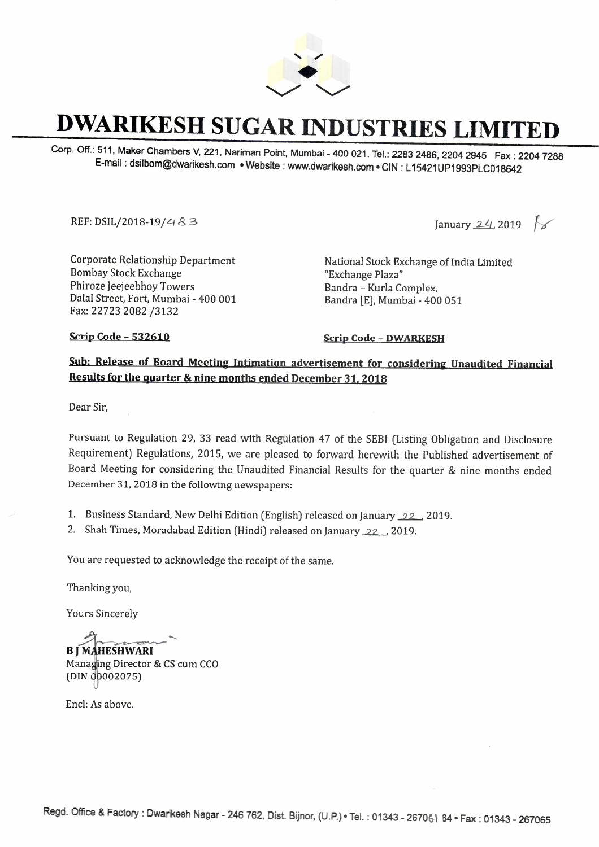

## **DWARIKESH SUGAR INDUSTRIES LIMITED**

Corp. Off.: 511, Maker Chambers V, 221, Nariman Point, Mumbai - 400 021. Tel.: 2283 2486, 2204 2945 Fax: 2204 7288 E-mail : dsilbom@dwarikesh.com • Website : www.dwarikesh.com • CIN : L 15421UP1993PLC018642

المار السلام السلام المسلم بين المسلم بين المسلم بين المسلم بين المسلم بين المسلم بين المسلم بين المسلم بين ال<br>المسلم بين المسلم بين المسلم بين المسلم بين المسلم بين المسلم بين المسلم بين المسلم بين المسلم بين المسلم بي

Corporate Relationship Department Bombay Stock Exchange Phiroze Jeejeebhoy Towers Dalal Street, Fort, Mumbai - 400 001 Fax: 22723 2082 /3132

National Stock Exchange of India Limited "Exchange Plaza" Bandra - Kurla Complex, Bandra [E], Mumbai - 400 051

**Scrip Code - 532610 Scrip Code - DWARKESH** 

## **Sub: Release of Board Meeting Intimation advertisement for considering Unaudited Financial Results for the quarter** & **nine months ended December 31, 2018**

Dear Sir,

Pursuant to Regulation 29, 33 read with Regulation 47 of the SEBI (Listing Obligation and Disclosure Requirement) Regulations, 2015, we are pleased to forward herewith the Published advertisement of Board Meeting for considering the Unaudited Financial Results for the quarter & nine months ended December 31, 2018 in the following newspapers:

1. Business Standard, New Delhi Edition (English) released on January  $22$ , 2019.

2. Shah Times, Moradabad Edition (Hindi) released on January 22, 2019.

You are requested to acknowledge the receipt of the same.

Thanking you,

Yours Sincerely

**B J MAHESHWARI**<br>Managing Director & CS cum CCO (DIN 00002075)

Encl: As above.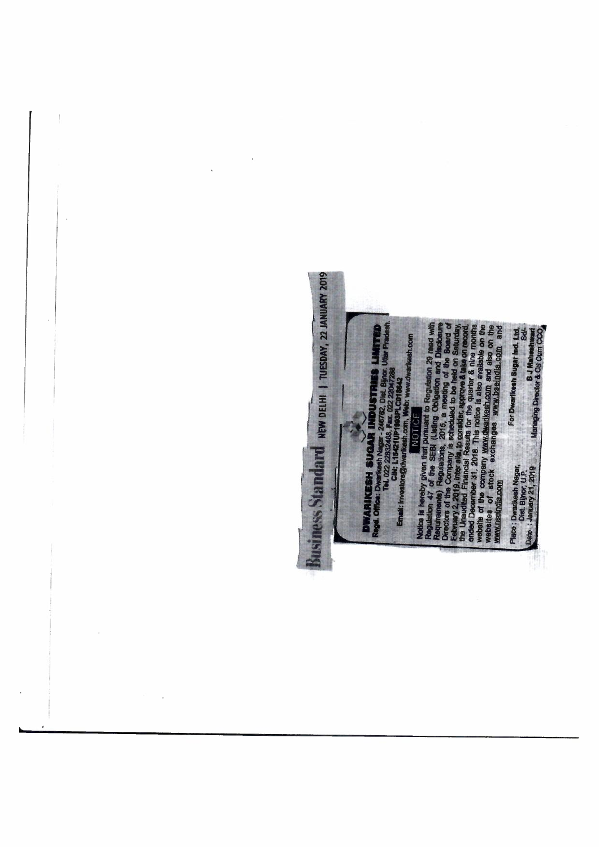